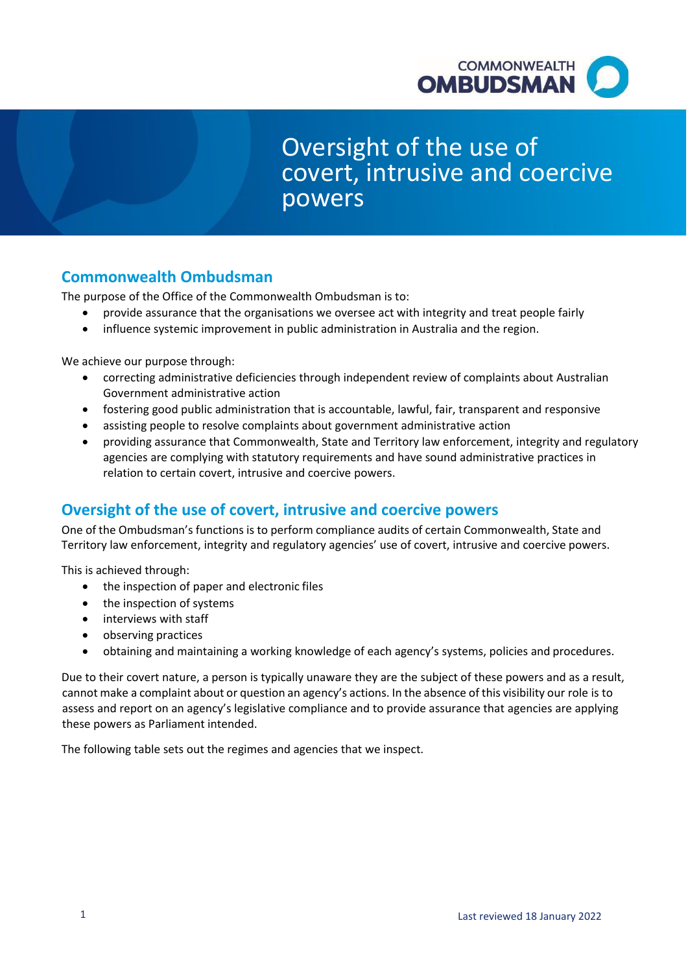

# Oversight of the use of covert, intrusive and coercive powers

# **Commonwealth Ombudsman**

The purpose of the Office of the Commonwealth Ombudsman is to:

- provide assurance that the organisations we oversee act with integrity and treat people fairly
- influence systemic improvement in public administration in Australia and the region.

We achieve our purpose through:

- correcting administrative deficiencies through independent review of complaints about Australian Government administrative action
- fostering good public administration that is accountable, lawful, fair, transparent and responsive
- assisting people to resolve complaints about government administrative action
- providing assurance that Commonwealth, State and Territory law enforcement, integrity and regulatory agencies are complying with statutory requirements and have sound administrative practices in relation to certain covert, intrusive and coercive powers.

# **Oversight of the use of covert, intrusive and coercive powers**

One of the Ombudsman's functions is to perform compliance audits of certain Commonwealth, State and Territory law enforcement, integrity and regulatory agencies' use of covert, intrusive and coercive powers.

This is achieved through:

- the inspection of paper and electronic files
- the inspection of systems
- interviews with staff
- observing practices
- obtaining and maintaining a working knowledge of each agency's systems, policies and procedures.

Due to their covert nature, a person is typically unaware they are the subject of these powers and as a result, cannot make a complaint about or question an agency's actions. In the absence of this visibility our role is to assess and report on an agency's legislative compliance and to provide assurance that agencies are applying these powers as Parliament intended.

The following table sets out the regimes and agencies that we inspect.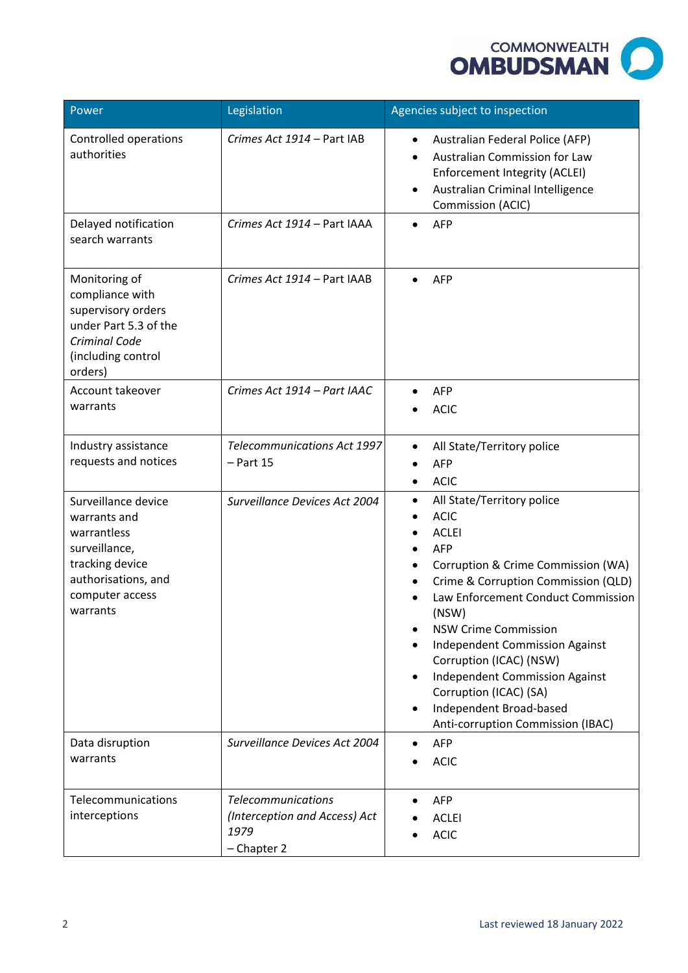

| Power                                                                                                                                        | Legislation                                                                       | Agencies subject to inspection                                                                                                                                                                                                                                                                                                                                                                                                                                                 |
|----------------------------------------------------------------------------------------------------------------------------------------------|-----------------------------------------------------------------------------------|--------------------------------------------------------------------------------------------------------------------------------------------------------------------------------------------------------------------------------------------------------------------------------------------------------------------------------------------------------------------------------------------------------------------------------------------------------------------------------|
| Controlled operations<br>authorities                                                                                                         | Crimes Act 1914 - Part IAB                                                        | Australian Federal Police (AFP)<br>$\bullet$<br>Australian Commission for Law<br>$\bullet$<br>Enforcement Integrity (ACLEI)<br>Australian Criminal Intelligence<br>$\bullet$<br>Commission (ACIC)                                                                                                                                                                                                                                                                              |
| Delayed notification<br>search warrants                                                                                                      | Crimes Act 1914 - Part IAAA                                                       | <b>AFP</b><br>$\bullet$                                                                                                                                                                                                                                                                                                                                                                                                                                                        |
| Monitoring of<br>compliance with<br>supervisory orders<br>under Part 5.3 of the<br>Criminal Code<br>(including control<br>orders)            | Crimes Act 1914 - Part IAAB                                                       | <b>AFP</b>                                                                                                                                                                                                                                                                                                                                                                                                                                                                     |
| Account takeover<br>warrants                                                                                                                 | Crimes Act 1914 - Part IAAC                                                       | <b>AFP</b><br><b>ACIC</b>                                                                                                                                                                                                                                                                                                                                                                                                                                                      |
| Industry assistance<br>requests and notices                                                                                                  | <b>Telecommunications Act 1997</b><br>$-$ Part 15                                 | All State/Territory police<br>$\bullet$<br><b>AFP</b><br><b>ACIC</b>                                                                                                                                                                                                                                                                                                                                                                                                           |
| Surveillance device<br>warrants and<br>warrantless<br>surveillance,<br>tracking device<br>authorisations, and<br>computer access<br>warrants | Surveillance Devices Act 2004                                                     | All State/Territory police<br>$\bullet$<br><b>ACIC</b><br><b>ACLEI</b><br><b>AFP</b><br>Corruption & Crime Commission (WA)<br>Crime & Corruption Commission (QLD)<br>$\bullet$<br>Law Enforcement Conduct Commission<br>(NSW)<br><b>NSW Crime Commission</b><br>٠<br>Independent Commission Against<br>Corruption (ICAC) (NSW)<br><b>Independent Commission Against</b><br>$\bullet$<br>Corruption (ICAC) (SA)<br>Independent Broad-based<br>Anti-corruption Commission (IBAC) |
| Data disruption<br>warrants                                                                                                                  | Surveillance Devices Act 2004                                                     | <b>AFP</b><br><b>ACIC</b>                                                                                                                                                                                                                                                                                                                                                                                                                                                      |
| Telecommunications<br>interceptions                                                                                                          | <b>Telecommunications</b><br>(Interception and Access) Act<br>1979<br>- Chapter 2 | <b>AFP</b><br><b>ACLEI</b><br><b>ACIC</b>                                                                                                                                                                                                                                                                                                                                                                                                                                      |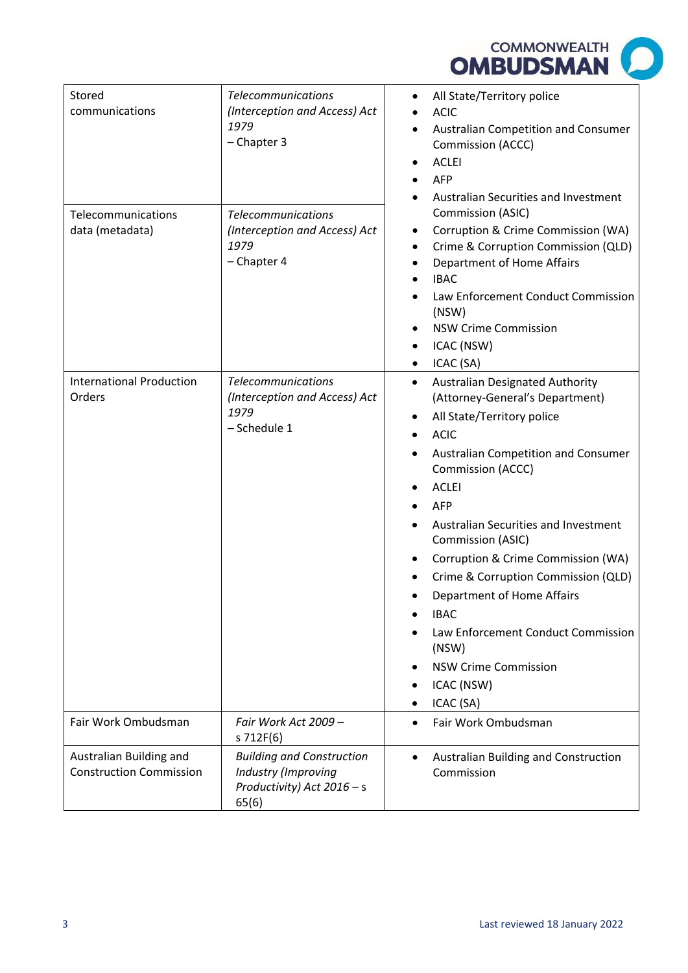

| Stored<br>communications                                  | <b>Telecommunications</b><br>(Interception and Access) Act<br>1979<br>- Chapter 3                | All State/Territory police<br>$\bullet$<br><b>ACIC</b><br>Australian Competition and Consumer<br>$\bullet$<br>Commission (ACCC)<br><b>ACLEI</b><br><b>AFP</b><br>Australian Securities and Investment<br>Commission (ASIC)<br>Corruption & Crime Commission (WA)<br>٠<br>Crime & Corruption Commission (QLD)<br>$\bullet$<br>Department of Home Affairs<br>$\bullet$<br><b>IBAC</b><br>Law Enforcement Conduct Commission<br>$\bullet$<br>(NSW)<br><b>NSW Crime Commission</b><br>ICAC (NSW)<br>ICAC (SA)                                            |
|-----------------------------------------------------------|--------------------------------------------------------------------------------------------------|------------------------------------------------------------------------------------------------------------------------------------------------------------------------------------------------------------------------------------------------------------------------------------------------------------------------------------------------------------------------------------------------------------------------------------------------------------------------------------------------------------------------------------------------------|
| Telecommunications<br>data (metadata)                     | <b>Telecommunications</b><br>(Interception and Access) Act<br>1979<br>- Chapter 4                |                                                                                                                                                                                                                                                                                                                                                                                                                                                                                                                                                      |
| <b>International Production</b><br>Orders                 | <b>Telecommunications</b><br>(Interception and Access) Act<br>1979<br>- Schedule 1               | <b>Australian Designated Authority</b><br>٠<br>(Attorney-General's Department)<br>All State/Territory police<br><b>ACIC</b><br>$\bullet$<br>Australian Competition and Consumer<br>Commission (ACCC)<br><b>ACLEI</b><br><b>AFP</b><br>Australian Securities and Investment<br>Commission (ASIC)<br>Corruption & Crime Commission (WA)<br>$\bullet$<br>Crime & Corruption Commission (QLD)<br>Department of Home Affairs<br><b>IBAC</b><br>Law Enforcement Conduct Commission<br>(NSW)<br><b>NSW Crime Commission</b><br>ICAC (NSW)<br>ICAC (SA)<br>٠ |
| Fair Work Ombudsman                                       | Fair Work Act 2009 -<br>s 712F(6)                                                                | Fair Work Ombudsman                                                                                                                                                                                                                                                                                                                                                                                                                                                                                                                                  |
| Australian Building and<br><b>Construction Commission</b> | <b>Building and Construction</b><br>Industry (Improving<br>Productivity) Act $2016 - s$<br>65(6) | Australian Building and Construction<br>Commission                                                                                                                                                                                                                                                                                                                                                                                                                                                                                                   |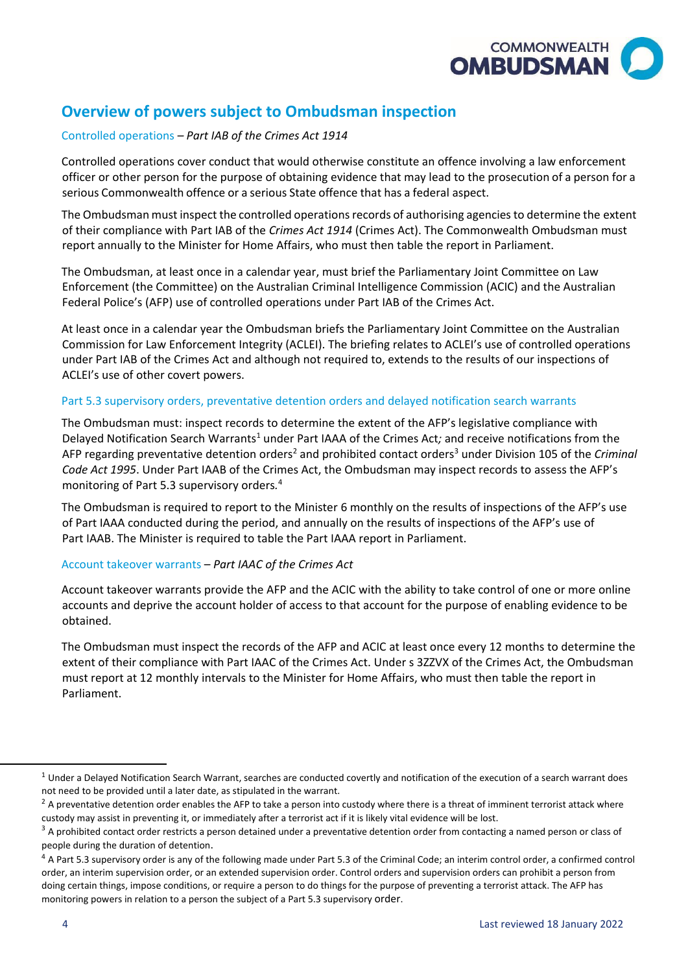

# **Overview of powers subject to Ombudsman inspection**

# Controlled operations *– Part IAB of the Crimes Act 1914*

Controlled operations cover conduct that would otherwise constitute an offence involving a law enforcement officer or other person for the purpose of obtaining evidence that may lead to the prosecution of a person for a serious Commonwealth offence or a serious State offence that has a federal aspect.

The Ombudsman must inspect the controlled operations records of authorising agencies to determine the extent of their compliance with Part IAB of the *Crimes Act 1914* (Crimes Act). The Commonwealth Ombudsman must report annually to the Minister for Home Affairs, who must then table the report in Parliament.

The Ombudsman, at least once in a calendar year, must brief the Parliamentary Joint Committee on Law Enforcement (the Committee) on the Australian Criminal Intelligence Commission (ACIC) and the Australian Federal Police's (AFP) use of controlled operations under Part IAB of the Crimes Act.

At least once in a calendar year the Ombudsman briefs the Parliamentary Joint Committee on the Australian Commission for Law Enforcement Integrity (ACLEI). The briefing relates to ACLEI's use of controlled operations under Part IAB of the Crimes Act and although not required to, extends to the results of our inspections of ACLEI's use of other covert powers.

### Part 5.3 supervisory orders, preventative detention orders and delayed notification search warrants

The Ombudsman must: inspect records to determine the extent of the AFP's legislative compliance with Delayed Notification Search Warrants<sup>1</sup> under Part IAAA of the Crimes Act; and receive notifications from the AFP regarding preventative detention orders<sup>2</sup> and prohibited contact orders<sup>3</sup> under Division 105 of the *Criminal Code Act 1995*. Under Part IAAB of the Crimes Act, the Ombudsman may inspect records to assess the AFP's monitoring of Part 5.3 supervisory orders*.*  4

The Ombudsman is required to report to the Minister 6 monthly on the results of inspections of the AFP's use of Part IAAA conducted during the period, and annually on the results of inspections of the AFP's use of Part IAAB. The Minister is required to table the Part IAAA report in Parliament.

### Account takeover warrants – *Part IAAC of the Crimes Act*

Account takeover warrants provide the AFP and the ACIC with the ability to take control of one or more online accounts and deprive the account holder of access to that account for the purpose of enabling evidence to be obtained.

The Ombudsman must inspect the records of the AFP and ACIC at least once every 12 months to determine the extent of their compliance with Part IAAC of the Crimes Act. Under s 3ZZVX of the Crimes Act, the Ombudsman must report at 12 monthly intervals to the Minister for Home Affairs, who must then table the report in Parliament.

 $1$  Under a Delayed Notification Search Warrant, searches are conducted covertly and notification of the execution of a search warrant does not need to be provided until a later date, as stipulated in the warrant.

 $2$  A preventative detention order enables the AFP to take a person into custody where there is a threat of imminent terrorist attack where custody may assist in preventing it, or immediately after a terrorist act if it is likely vital evidence will be lost.

 $3$  A prohibited contact order restricts a person detained under a preventative detention order from contacting a named person or class of people during the duration of detention.<br><sup>4</sup> A Part 5.3 supervisory order is any of the following made under Part 5.3 of the Criminal Code; an interim control order, a confirmed control

 doing certain things, impose conditions, or require a person to do things for the purpose of preventing a terrorist attack. The AFP has order, an interim supervision order, or an extended supervision order. Control orders and supervision orders can prohibit a person from monitoring powers in relation to a person the subject of a Part 5.3 supervisory order.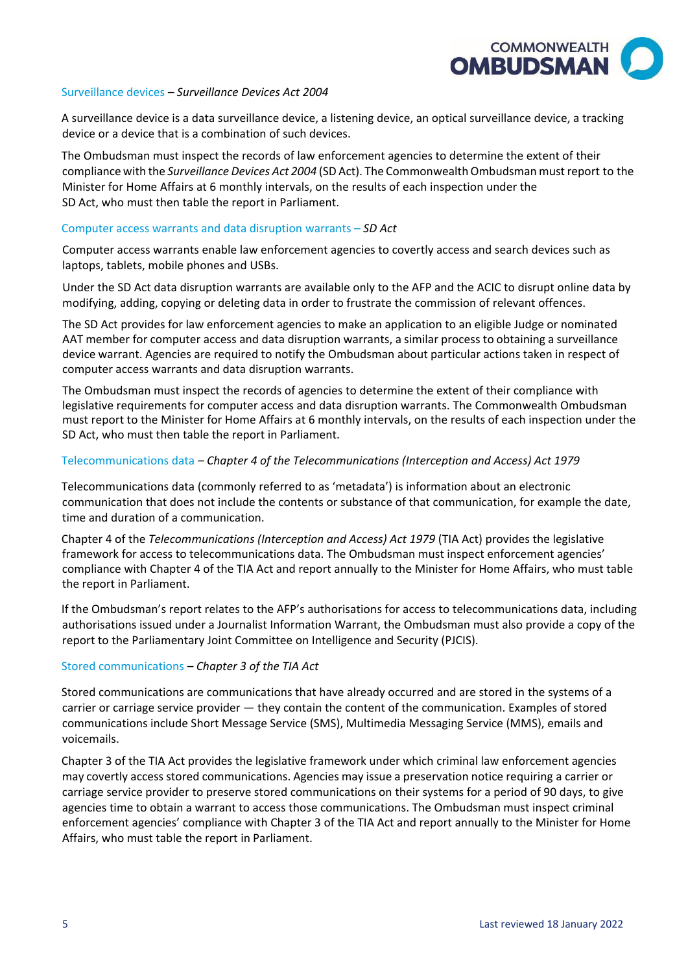

#### Surveillance devices *– Surveillance Devices Act 2004*

A surveillance device is a data surveillance device, a listening device, an optical surveillance device, a tracking device or a device that is a combination of such devices.

The Ombudsman must inspect the records of law enforcement agencies to determine the extent of their compliance with the *Surveillance Devices Act 2004* (SD Act). The Commonwealth Ombudsman must report to the Minister for Home Affairs at 6 monthly intervals, on the results of each inspection under the SD Act, who must then table the report in Parliament.

#### Computer access warrants and data disruption warrants – *SD Act*

Computer access warrants enable law enforcement agencies to covertly access and search devices such as laptops, tablets, mobile phones and USBs.

Under the SD Act data disruption warrants are available only to the AFP and the ACIC to disrupt online data by modifying, adding, copying or deleting data in order to frustrate the commission of relevant offences.

The SD Act provides for law enforcement agencies to make an application to an eligible Judge or nominated AAT member for computer access and data disruption warrants, a similar process to obtaining a surveillance device warrant. Agencies are required to notify the Ombudsman about particular actions taken in respect of computer access warrants and data disruption warrants.

The Ombudsman must inspect the records of agencies to determine the extent of their compliance with legislative requirements for computer access and data disruption warrants. The Commonwealth Ombudsman must report to the Minister for Home Affairs at 6 monthly intervals, on the results of each inspection under the SD Act, who must then table the report in Parliament.

#### Telecommunications data *– Chapter 4 of the Telecommunications (Interception and Access) Act 1979*

Telecommunications data (commonly referred to as 'metadata') is information about an electronic communication that does not include the contents or substance of that communication, for example the date, time and duration of a communication.

Chapter 4 of the *Telecommunications (Interception and Access) Act 1979* (TIA Act) provides the legislative framework for access to telecommunications data. The Ombudsman must inspect enforcement agencies' compliance with Chapter 4 of the TIA Act and report annually to the Minister for Home Affairs, who must table the report in Parliament.

If the Ombudsman's report relates to the AFP's authorisations for access to telecommunications data, including authorisations issued under a Journalist Information Warrant, the Ombudsman must also provide a copy of the report to the Parliamentary Joint Committee on Intelligence and Security (PJCIS).

### Stored communications *– Chapter 3 of the TIA Act*

Stored communications are communications that have already occurred and are stored in the systems of a carrier or carriage service provider — they contain the content of the communication. Examples of stored communications include Short Message Service (SMS), Multimedia Messaging Service (MMS), emails and voicemails.

 enforcement agencies' compliance with Chapter 3 of the TIA Act and report annually to the Minister for Home Chapter 3 of the TIA Act provides the legislative framework under which criminal law enforcement agencies may covertly access stored communications. Agencies may issue a preservation notice requiring a carrier or carriage service provider to preserve stored communications on their systems for a period of 90 days, to give agencies time to obtain a warrant to access those communications. The Ombudsman must inspect criminal Affairs, who must table the report in Parliament.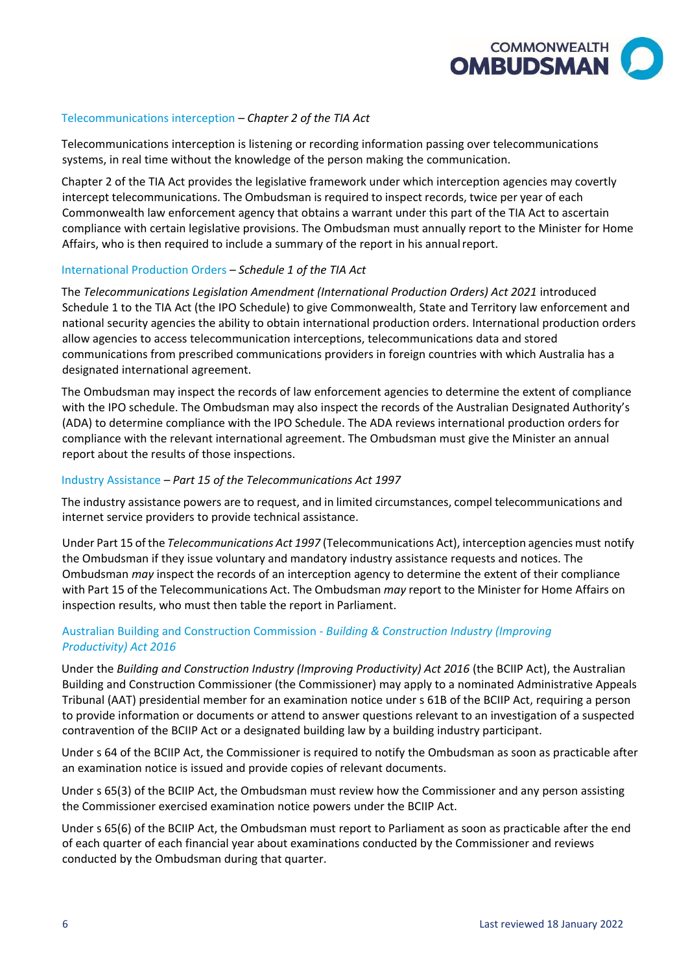

### Telecommunications interception *– Chapter 2 of the TIA Act*

Telecommunications interception is listening or recording information passing over telecommunications systems, in real time without the knowledge of the person making the communication.

Chapter 2 of the TIA Act provides the legislative framework under which interception agencies may covertly intercept telecommunications. The Ombudsman is required to inspect records, twice per year of each Commonwealth law enforcement agency that obtains a warrant under this part of the TIA Act to ascertain compliance with certain legislative provisions. The Ombudsman must annually report to the Minister for Home Affairs, who is then required to include a summary of the report in his annual report.

#### International Production Orders – *Schedule 1 of the TIA Act*

The *Telecommunications Legislation Amendment (International Production Orders) Act 2021* introduced Schedule 1 to the TIA Act (the IPO Schedule) to give Commonwealth, State and Territory law enforcement and national security agencies the ability to obtain international production orders. International production orders allow agencies to access telecommunication interceptions, telecommunications data and stored communications from prescribed communications providers in foreign countries with which Australia has a designated international agreement.

The Ombudsman may inspect the records of law enforcement agencies to determine the extent of compliance with the IPO schedule. The Ombudsman may also inspect the records of the Australian Designated Authority's (ADA) to determine compliance with the IPO Schedule. The ADA reviews international production orders for compliance with the relevant international agreement. The Ombudsman must give the Minister an annual report about the results of those inspections.

#### Industry Assistance *– Part 15 of the Telecommunications Act 1997*

The industry assistance powers are to request, and in limited circumstances, compel telecommunications and internet service providers to provide technical assistance.

Under Part 15 of the *Telecommunications Act 1997* (Telecommunications Act), interception agencies must notify the Ombudsman if they issue voluntary and mandatory industry assistance requests and notices. The Ombudsman *may* inspect the records of an interception agency to determine the extent of their compliance with Part 15 of the Telecommunications Act. The Ombudsman *may* report to the Minister for Home Affairs on inspection results, who must then table the report in Parliament.

# Australian Building and Construction Commission - *Building & Construction Industry (Improving Productivity) Act 2016*

Under the *Building and Construction Industry (Improving Productivity) Act 2016* (the BCIIP Act), the Australian Building and Construction Commissioner (the Commissioner) may apply to a nominated Administrative Appeals Tribunal (AAT) presidential member for an examination notice under s 61B of the BCIIP Act, requiring a person to provide information or documents or attend to answer questions relevant to an investigation of a suspected contravention of the BCIIP Act or a designated building law by a building industry participant.

Under s 64 of the BCIIP Act, the Commissioner is required to notify the Ombudsman as soon as practicable after an examination notice is issued and provide copies of relevant documents.

Under s 65(3) of the BCIIP Act, the Ombudsman must review how the Commissioner and any person assisting the Commissioner exercised examination notice powers under the BCIIP Act.

Under s 65(6) of the BCIIP Act, the Ombudsman must report to Parliament as soon as practicable after the end of each quarter of each financial year about examinations conducted by the Commissioner and reviews conducted by the Ombudsman during that quarter.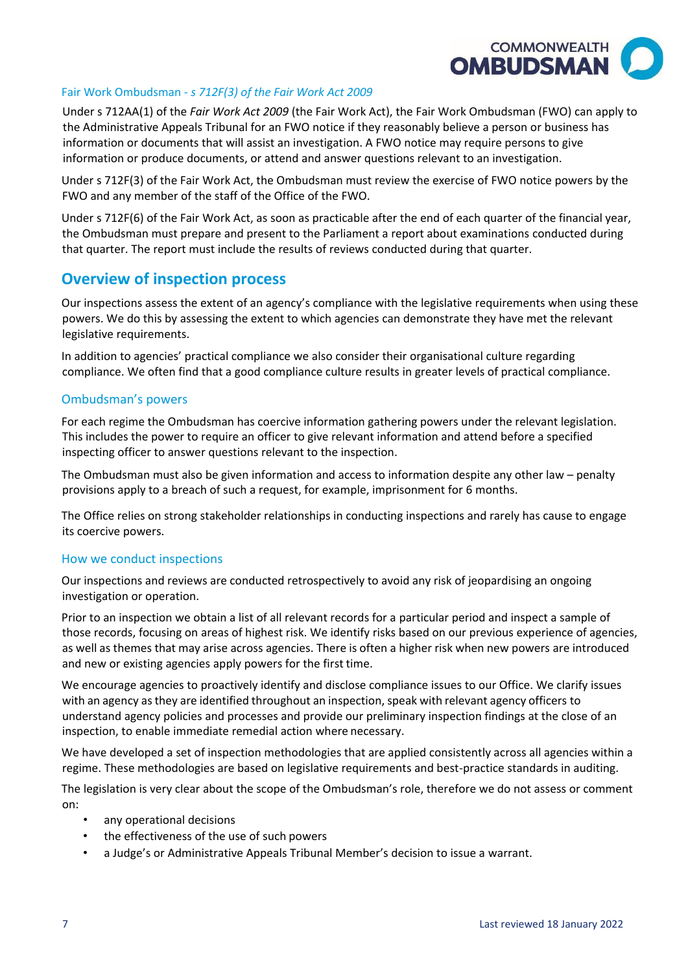

# Fair Work Ombudsman - *s 712F(3) of the Fair Work Act 2009*

Under s 712AA(1) of the *Fair Work Act 2009* (the Fair Work Act), the Fair Work Ombudsman (FWO) can apply to the Administrative Appeals Tribunal for an FWO notice if they reasonably believe a person or business has information or documents that will assist an investigation. A FWO notice may require persons to give information or produce documents, or attend and answer questions relevant to an investigation.

Under s 712F(3) of the Fair Work Act, the Ombudsman must review the exercise of FWO notice powers by the FWO and any member of the staff of the Office of the FWO.

Under s 712F(6) of the Fair Work Act, as soon as practicable after the end of eac[h quarter o](http://classic.austlii.edu.au/au/legis/cth/consol_act/fwa2009114/s789gc.html#quarter)f the financial year, th[e Ombudsman](http://classic.austlii.edu.au/au/legis/cth/consol_act/fwa2009114/s12.html#commonwealth_ombudsman) must prepare and present to the Parliament a report about examinations [conducted d](http://classic.austlii.edu.au/au/legis/cth/consol_act/fwa2009114/s12.html#conduct)uring tha[t quarter.](http://classic.austlii.edu.au/au/legis/cth/consol_act/fwa2009114/s789gc.html#quarter) The report must include the results of reviews [conducted d](http://classic.austlii.edu.au/au/legis/cth/consol_act/fwa2009114/s12.html#conduct)uring that [quarter.](http://classic.austlii.edu.au/au/legis/cth/consol_act/fwa2009114/s789gc.html#quarter)

# **Overview of inspection process**

Our inspections assess the extent of an agency's compliance with the legislative requirements when using these powers. We do this by assessing the extent to which agencies can demonstrate they have met the relevant legislative requirements.

In addition to agencies' practical compliance we also consider their organisational culture regarding compliance. We often find that a good compliance culture results in greater levels of practical compliance.

# Ombudsman's powers

For each regime the Ombudsman has coercive information gathering powers under the relevant legislation. This includes the power to require an officer to give relevant information and attend before a specified inspecting officer to answer questions relevant to the inspection.

The Ombudsman must also be given information and access to information despite any other law – penalty provisions apply to a breach of such a request, for example, imprisonment for 6 months.

The Office relies on strong stakeholder relationships in conducting inspections and rarely has cause to engage its coercive powers.

### How we conduct inspections

Our inspections and reviews are conducted retrospectively to avoid any risk of jeopardising an ongoing investigation or operation.

Prior to an inspection we obtain a list of all relevant records for a particular period and inspect a sample of those records, focusing on areas of highest risk. We identify risks based on our previous experience of agencies, as well as themes that may arise across agencies. There is often a higher risk when new powers are introduced and new or existing agencies apply powers for the first time.

We encourage agencies to proactively identify and disclose compliance issues to our Office. We clarify issues with an agency as they are identified throughout an inspection, speak with relevant agency officers to understand agency policies and processes and provide our preliminary inspection findings at the close of an inspection, to enable immediate remedial action where necessary.

We have developed a set of inspection methodologies that are applied consistently across all agencies within a regime. These methodologies are based on legislative requirements and best-practice standards in auditing.

The legislation is very clear about the scope of the Ombudsman's role, therefore we do not assess or comment on:

- any operational decisions
- the effectiveness of the use of such powers
- a Judge's or Administrative Appeals Tribunal Member's decision to issue a warrant.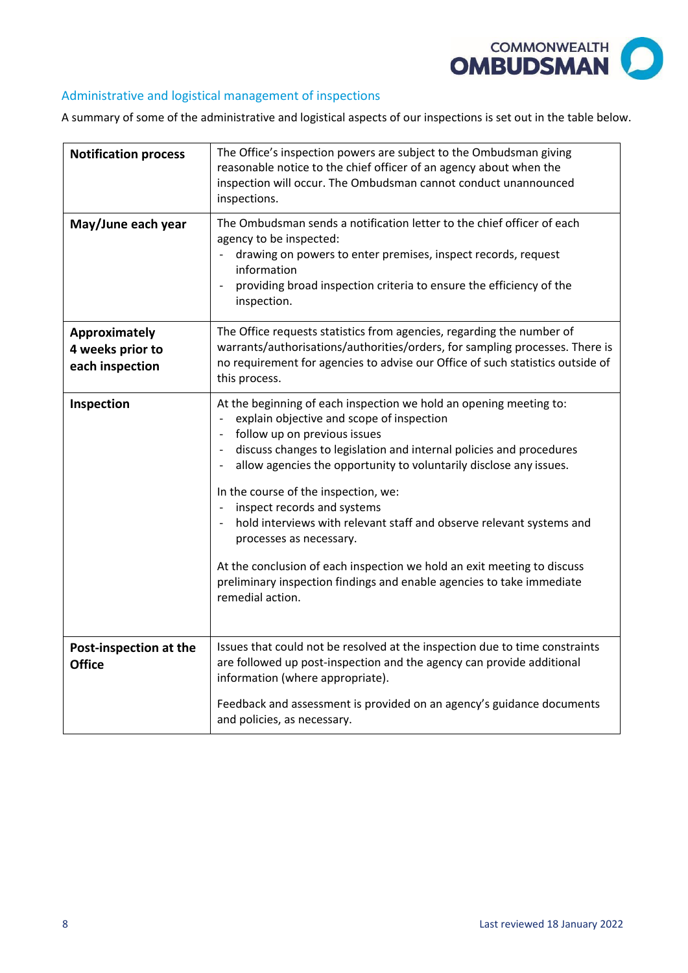

# Administrative and logistical management of inspections

A summary of some of the administrative and logistical aspects of our inspections is set out in the table below.

| <b>Notification process</b>                          | The Office's inspection powers are subject to the Ombudsman giving<br>reasonable notice to the chief officer of an agency about when the<br>inspection will occur. The Ombudsman cannot conduct unannounced<br>inspections.                                                                                                                                                                                                                                                                                                                                                                                                                                                                            |
|------------------------------------------------------|--------------------------------------------------------------------------------------------------------------------------------------------------------------------------------------------------------------------------------------------------------------------------------------------------------------------------------------------------------------------------------------------------------------------------------------------------------------------------------------------------------------------------------------------------------------------------------------------------------------------------------------------------------------------------------------------------------|
| May/June each year                                   | The Ombudsman sends a notification letter to the chief officer of each<br>agency to be inspected:<br>drawing on powers to enter premises, inspect records, request<br>information<br>providing broad inspection criteria to ensure the efficiency of the<br>inspection.                                                                                                                                                                                                                                                                                                                                                                                                                                |
| Approximately<br>4 weeks prior to<br>each inspection | The Office requests statistics from agencies, regarding the number of<br>warrants/authorisations/authorities/orders, for sampling processes. There is<br>no requirement for agencies to advise our Office of such statistics outside of<br>this process.                                                                                                                                                                                                                                                                                                                                                                                                                                               |
| Inspection                                           | At the beginning of each inspection we hold an opening meeting to:<br>explain objective and scope of inspection<br>follow up on previous issues<br>$\overline{\phantom{a}}$<br>discuss changes to legislation and internal policies and procedures<br>$\overline{\phantom{a}}$<br>allow agencies the opportunity to voluntarily disclose any issues.<br>In the course of the inspection, we:<br>inspect records and systems<br>hold interviews with relevant staff and observe relevant systems and<br>processes as necessary.<br>At the conclusion of each inspection we hold an exit meeting to discuss<br>preliminary inspection findings and enable agencies to take immediate<br>remedial action. |
| Post-inspection at the<br><b>Office</b>              | Issues that could not be resolved at the inspection due to time constraints<br>are followed up post-inspection and the agency can provide additional<br>information (where appropriate).                                                                                                                                                                                                                                                                                                                                                                                                                                                                                                               |
|                                                      | Feedback and assessment is provided on an agency's guidance documents<br>and policies, as necessary.                                                                                                                                                                                                                                                                                                                                                                                                                                                                                                                                                                                                   |